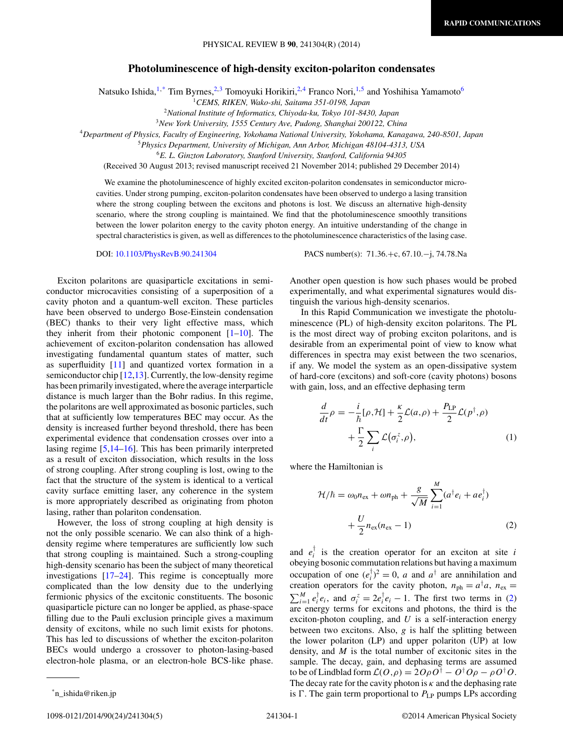# **Photoluminescence of high-density exciton-polariton condensates**

<span id="page-0-0"></span>Natsuko Ishida,<sup>1,\*</sup> Tim Byrnes,<sup>2,3</sup> Tomoyuki Horikiri,<sup>2,4</sup> Franco Nori,<sup>1,5</sup> and Yoshihisa Yamamoto<sup>6</sup>

<sup>1</sup>*CEMS, RIKEN, Wako-shi, Saitama 351-0198, Japan*

<sup>2</sup>*National Institute of Informatics, Chiyoda-ku, Tokyo 101-8430, Japan*

<sup>3</sup>*New York University, 1555 Century Ave, Pudong, Shanghai 200122, China*

<sup>4</sup>*Department of Physics, Faculty of Engineering, Yokohama National University, Yokohama, Kanagawa, 240-8501, Japan*

<sup>5</sup>*Physics Department, University of Michigan, Ann Arbor, Michigan 48104-4313, USA*

<sup>6</sup>*E. L. Ginzton Laboratory, Stanford University, Stanford, California 94305*

(Received 30 August 2013; revised manuscript received 21 November 2014; published 29 December 2014)

We examine the photoluminescence of highly excited exciton-polariton condensates in semiconductor microcavities. Under strong pumping, exciton-polariton condensates have been observed to undergo a lasing transition where the strong coupling between the excitons and photons is lost. We discuss an alternative high-density scenario, where the strong coupling is maintained. We find that the photoluminescence smoothly transitions between the lower polariton energy to the cavity photon energy. An intuitive understanding of the change in spectral characteristics is given, as well as differences to the photoluminescence characteristics of the lasing case.

Exciton polaritons are quasiparticle excitations in semiconductor microcavities consisting of a superposition of a cavity photon and a quantum-well exciton. These particles have been observed to undergo Bose-Einstein condensation (BEC) thanks to their very light effective mass, which they inherit from their photonic component  $[1-10]$ . The achievement of exciton-polariton condensation has allowed investigating fundamental quantum states of matter, such as superfluidity [\[11\]](#page-3-0) and quantized vortex formation in a semiconductor chip [\[12,13\]](#page-3-0). Currently, the low-density regime has been primarily investigated, where the average interparticle distance is much larger than the Bohr radius. In this regime, the polaritons are well approximated as bosonic particles, such that at sufficiently low temperatures BEC may occur. As the density is increased further beyond threshold, there has been experimental evidence that condensation crosses over into a lasing regime [\[5,](#page-3-0)[14–16\]](#page-4-0). This has been primarily interpreted as a result of exciton dissociation, which results in the loss of strong coupling. After strong coupling is lost, owing to the fact that the structure of the system is identical to a vertical cavity surface emitting laser, any coherence in the system is more appropriately described as originating from photon lasing, rather than polariton condensation.

However, the loss of strong coupling at high density is not the only possible scenario. We can also think of a highdensity regime where temperatures are sufficiently low such that strong coupling is maintained. Such a strong-coupling high-density scenario has been the subject of many theoretical investigations [\[17–24\]](#page-4-0). This regime is conceptually more complicated than the low density due to the underlying fermionic physics of the excitonic constituents. The bosonic quasiparticle picture can no longer be applied, as phase-space filling due to the Pauli exclusion principle gives a maximum density of excitons, while no such limit exists for photons. This has led to discussions of whether the exciton-polariton BECs would undergo a crossover to photon-lasing-based electron-hole plasma, or an electron-hole BCS-like phase.

DOI: [10.1103/PhysRevB.90.241304](http://dx.doi.org/10.1103/PhysRevB.90.241304) PACS number(s): 71*.*36*.*+c*,* 67*.*10*.*−j*,* 74*.*78*.*Na

Another open question is how such phases would be probed experimentally, and what experimental signatures would distinguish the various high-density scenarios.

In this Rapid Communication we investigate the photoluminescence (PL) of high-density exciton polaritons. The PL is the most direct way of probing exciton polaritons, and is desirable from an experimental point of view to know what differences in spectra may exist between the two scenarios, if any. We model the system as an open-dissipative system of hard-core (excitons) and soft-core (cavity photons) bosons with gain, loss, and an effective dephasing term

$$
\frac{d}{dt}\rho = -\frac{i}{\hbar}[\rho,\mathcal{H}] + \frac{\kappa}{2}\mathcal{L}(a,\rho) + \frac{P_{\text{LP}}}{2}\mathcal{L}(p^{\dagger},\rho) \n+ \frac{\Gamma}{2}\sum_{i}\mathcal{L}(\sigma_i^z,\rho),
$$
\n(1)

where the Hamiltonian is

$$
\mathcal{H}/\hbar = \omega_0 n_{\text{ex}} + \omega n_{\text{ph}} + \frac{g}{\sqrt{M}} \sum_{i=1}^{M} (a^{\dagger} e_i + a e_i^{\dagger}) + \frac{U}{2} n_{\text{ex}} (n_{\text{ex}} - 1)
$$
\n(2)

and  $e_i^{\dagger}$  is the creation operator for an exciton at site *i* obeying bosonic commutation relations but having a maximum occupation of one  $(e_i^{\dagger})^2 = 0$ , *a* and  $a^{\dagger}$  are annihilation and creation operators for the cavity photon,  $n_{ph} = a^{\dagger}a$ ,  $n_{ex} =$  $\sum_{i=1}^{M} e_i^{\dagger} e_i$ , and  $\sigma_i^z = 2e_i^{\dagger} e_i - 1$ . The first two terms in (2) are energy terms for excitons and photons, the third is the exciton-photon coupling, and *U* is a self-interaction energy between two excitons. Also, *g* is half the splitting between the lower polariton (LP) and upper polariton (UP) at low density, and *M* is the total number of excitonic sites in the sample. The decay, gain, and dephasing terms are assumed to be of Lindblad form  $\mathcal{L}(O,\rho) = 2O\rho O^{\dagger} - O^{\dagger}O\rho - \rho O^{\dagger}O$ . The decay rate for the cavity photon is *κ* and the dephasing rate is  $\Gamma$ . The gain term proportional to  $P_{LP}$  pumps LPs according

<sup>\*</sup>n\_ishida@riken.jp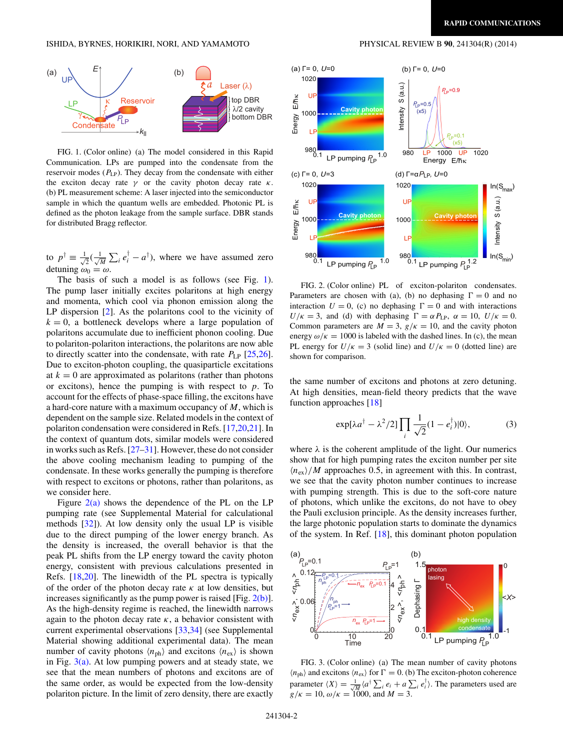## <span id="page-1-0"></span>ISHIDA, BYRNES, HORIKIRI, NORI, AND YAMAMOTO PHYSICAL REVIEW B **90**, 241304(R) (2014)



FIG. 1. (Color online) (a) The model considered in this Rapid Communication. LPs are pumped into the condensate from the reservoir modes ( $P_{\text{LP}}$ ). They decay from the condensate with either the exciton decay rate *γ* or the cavity photon decay rate *κ*. (b) PL measurement scheme: A laser injected into the semiconductor sample in which the quantum wells are embedded. Photonic PL is defined as the photon leakage from the sample surface. DBR stands for distributed Bragg reflector.

to  $p^{\dagger} \equiv \frac{1}{\sqrt{2}}$  $\overline{2}(\frac{1}{\sqrt{l}})$  $\frac{1}{\sqrt{M}}\sum_i e_i^{\dagger} - a^{\dagger}$ , where we have assumed zero  $detuning \omega_0 = \omega$ .

The basis of such a model is as follows (see Fig. 1). The pump laser initially excites polaritons at high energy and momenta, which cool via phonon emission along the LP dispersion [\[2\]](#page-3-0). As the polaritons cool to the vicinity of  $k = 0$ , a bottleneck develops where a large population of polaritons accumulate due to inefficient phonon cooling. Due to polariton-polariton interactions, the polaritons are now able to directly scatter into the condensate, with rate  $P_{LP}$  [\[25,26\]](#page-4-0). Due to exciton-photon coupling, the quasiparticle excitations at  $k = 0$  are approximated as polaritons (rather than photons or excitons), hence the pumping is with respect to *p*. To account for the effects of phase-space filling, the excitons have a hard-core nature with a maximum occupancy of *M*, which is dependent on the sample size. Related models in the context of polariton condensation were considered in Refs. [\[17,20,21\]](#page-4-0). In the context of quantum dots, similar models were considered in works such as Refs. [\[27–31\]](#page-4-0). However, these do not consider the above cooling mechanism leading to pumping of the condensate. In these works generally the pumping is therefore with respect to excitons or photons, rather than polaritons, as we consider here.

Figure 2(a) shows the dependence of the PL on the LP pumping rate (see Supplemental Material for calculational methods [\[32\]](#page-4-0)). At low density only the usual LP is visible due to the direct pumping of the lower energy branch. As the density is increased, the overall behavior is that the peak PL shifts from the LP energy toward the cavity photon energy, consistent with previous calculations presented in Refs. [\[18,20\]](#page-4-0). The linewidth of the PL spectra is typically of the order of the photon decay rate  $\kappa$  at low densities, but increases significantly as the pump power is raised [Fig. 2(b)]. As the high-density regime is reached, the linewidth narrows again to the photon decay rate  $\kappa$ , a behavior consistent with current experimental observations [\[33,34\]](#page-4-0) (see Supplemental Material showing additional experimental data). The mean number of cavity photons  $\langle n_{ph} \rangle$  and excitons  $\langle n_{ex} \rangle$  is shown in Fig.  $3(a)$ . At low pumping powers and at steady state, we see that the mean numbers of photons and excitons are of the same order, as would be expected from the low-density polariton picture. In the limit of zero density, there are exactly



FIG. 2. (Color online) PL of exciton-polariton condensates. Parameters are chosen with (a), (b) no dephasing  $\Gamma = 0$  and no interaction  $U = 0$ , (c) no dephasing  $\Gamma = 0$  and with interactions  $U/\kappa = 3$ , and (d) with dephasing  $\Gamma = \alpha P_{\text{LP}}$ ,  $\alpha = 10$ ,  $U/\kappa = 0$ . Common parameters are  $M = 3$ ,  $g/\kappa = 10$ , and the cavity photon energy  $\omega/\kappa = 1000$  is labeled with the dashed lines. In (c), the mean PL energy for  $U/\kappa = 3$  (solid line) and  $U/\kappa = 0$  (dotted line) are shown for comparison.

the same number of excitons and photons at zero detuning. At high densities, mean-field theory predicts that the wave function approaches [\[18\]](#page-4-0)

$$
\exp[\lambda a^{\dagger} - \lambda^2/2] \prod_i \frac{1}{\sqrt{2}} (1 - e_i^{\dagger}) |0\rangle, \tag{3}
$$

where  $\lambda$  is the coherent amplitude of the light. Our numerics show that for high pumping rates the exciton number per site  $\langle n_{\rm ex} \rangle/M$  approaches 0.5, in agreement with this. In contrast, we see that the cavity photon number continues to increase with pumping strength. This is due to the soft-core nature of photons, which unlike the excitons, do not have to obey the Pauli exclusion principle. As the density increases further, the large photonic population starts to dominate the dynamics of the system. In Ref. [\[18\]](#page-4-0), this dominant photon population



FIG. 3. (Color online) (a) The mean number of cavity photons  $\langle n_{ph} \rangle$  and excitons  $\langle n_{ex} \rangle$  for  $\Gamma = 0$ . (b) The exciton-photon coherence parameter  $\langle X \rangle = \frac{1}{\sqrt{M}} \langle a^{\dagger} \sum_{i} e_i + a \sum_{i} e_i^{\dagger} \rangle$ . The parameters used are  $g/\kappa = 10$ ,  $\omega/\kappa = 1000$ , and  $M = 3$ .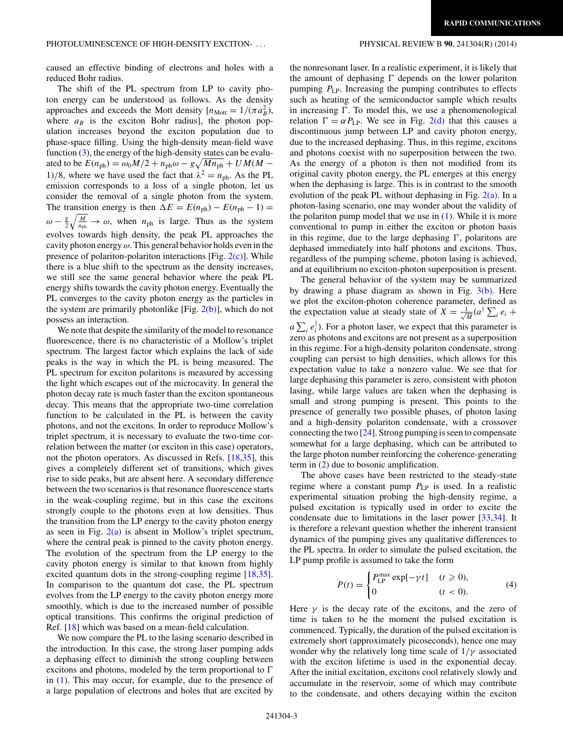caused an effective binding of electrons and holes with a reduced Bohr radius.

The shift of the PL spectrum from LP to cavity photon energy can be understood as follows. As the density approaches and exceeds the Mott density  $[n_{\text{Mott}} = 1/(\pi a_B^2)$ , where  $a_B$  is the exciton Bohr radius], the photon population increases beyond the exciton population due to phase-space filling. Using the high-density mean-field wave function  $(3)$ , the energy of the high-density states can be evaluated to be  $E(n_{\text{ph}}) = \omega_0 M/2 + n_{\text{ph}}\omega - g\sqrt{M n_{\text{ph}}} + UM(M - \omega)$ 1)/8, where we have used the fact that  $\lambda^2 = n_{ph}$ . As the PL emission corresponds to a loss of a single photon, let us consider the removal of a single photon from the system. The transition energy is then  $\Delta E = E(n_{ph}) - E(n_{ph} - 1) =$  $\omega - \frac{g}{2} \sqrt{\frac{M}{n_{ph}}} \rightarrow \omega$ , when  $n_{ph}$  is large. Thus as the system evolves towards high density, the peak PL approaches the cavity photon energy*ω*. This general behavior holds even in the presence of polariton-polariton interactions [Fig. [2\(c\)\]](#page-1-0). While there is a blue shift to the spectrum as the density increases, we still see the same general behavior where the peak PL energy shifts towards the cavity photon energy. Eventually the PL converges to the cavity photon energy as the particles in the system are primarily photonlike [Fig.  $2(b)$ ], which do not possess an interaction.

We note that despite the similarity of the model to resonance fluorescence, there is no characteristic of a Mollow's triplet spectrum. The largest factor which explains the lack of side peaks is the way in which the PL is being measured. The PL spectrum for exciton polaritons is measured by accessing the light which escapes out of the microcavity. In general the photon decay rate is much faster than the exciton spontaneous decay. This means that the appropriate two-time correlation function to be calculated in the PL is between the cavity photons, and not the excitons. In order to reproduce Mollow's triplet spectrum, it is necessary to evaluate the two-time correlation between the matter (or exciton in this case) operators, not the photon operators. As discussed in Refs. [\[18,35\]](#page-4-0), this gives a completely different set of transitions, which gives rise to side peaks, but are absent here. A secondary difference between the two scenarios is that resonance fluorescence starts in the weak-coupling regime, but in this case the excitons strongly couple to the photons even at low densities. Thus the transition from the LP energy to the cavity photon energy as seen in Fig.  $2(a)$  is absent in Mollow's triplet spectrum, where the central peak is pinned to the cavity photon energy. The evolution of the spectrum from the LP energy to the cavity photon energy is similar to that known from highly excited quantum dots in the strong-coupling regime [\[18,35\]](#page-4-0). In comparison to the quantum dot case, the PL spectrum evolves from the LP energy to the cavity photon energy more smoothly, which is due to the increased number of possible optical transitions. This confirms the original prediction of Ref. [\[18\]](#page-4-0) which was based on a mean-field calculation.

We now compare the PL to the lasing scenario described in the introduction. In this case, the strong laser pumping adds a dephasing effect to diminish the strong coupling between excitons and photons, modeled by the term proportional to  $\Gamma$ in [\(1\)](#page-0-0). This may occur, for example, due to the presence of a large population of electrons and holes that are excited by the nonresonant laser. In a realistic experiment, it is likely that the amount of dephasing  $\Gamma$  depends on the lower polariton pumping *P*LP. Increasing the pumping contributes to effects such as heating of the semiconductor sample which results in increasing  $\Gamma$ . To model this, we use a phenomenological relation  $\Gamma = \alpha P_{\text{LP}}$ . We see in Fig. [2\(d\)](#page-1-0) that this causes a discontinuous jump between LP and cavity photon energy, due to the increased dephasing. Thus, in this regime, excitons and photons coexist with no superposition between the two. As the energy of a photon is then not modified from its original cavity photon energy, the PL emerges at this energy when the dephasing is large. This is in contrast to the smooth evolution of the peak PL without dephasing in Fig.  $2(a)$ . In a photon-lasing scenario, one may wonder about the validity of the polariton pump model that we use in  $(1)$ . While it is more conventional to pump in either the exciton or photon basis in this regime, due to the large dephasing  $\Gamma$ , polaritons are dephased immediately into half photons and excitons. Thus, regardless of the pumping scheme, photon lasing is achieved, and at equilibrium no exciton-photon superposition is present.

The general behavior of the system may be summarized by drawing a phase diagram as shown in Fig. [3\(b\).](#page-1-0) Here we plot the exciton-photon coherence parameter, defined as the expectation value at steady state of  $X = \frac{1}{\sqrt{M}} (a^{\dagger} \sum_{i} e_i + a^{\dagger})$  $a \sum_i e_i^{\dagger}$ ). For a photon laser, we expect that this parameter is zero as photons and excitons are not present as a superposition in this regime. For a high-density polariton condensate, strong coupling can persist to high densities, which allows for this expectation value to take a nonzero value. We see that for large dephasing this parameter is zero, consistent with photon lasing, while large values are taken when the dephasing is small and strong pumping is present. This points to the presence of generally two possible phases, of photon lasing and a high-density polariton condensate, with a crossover connecting the two [\[24\]](#page-4-0). Strong pumping is seen to compensate somewhat for a large dephasing, which can be attributed to the large photon number reinforcing the coherence-generating term in [\(2\)](#page-0-0) due to bosonic amplification.

The above cases have been restricted to the steady-state regime where a constant pump *P*LP is used. In a realistic experimental situation probing the high-density regime, a pulsed excitation is typically used in order to excite the condensate due to limitations in the laser power [\[33,34\]](#page-4-0). It is therefore a relevant question whether the inherent transient dynamics of the pumping gives any qualitative differences to the PL spectra. In order to simulate the pulsed excitation, the LP pump profile is assumed to take the form

$$
P(t) = \begin{cases} P_{\text{LP}}^{\text{max}} \exp[-\gamma t] & (t \ge 0), \\ 0 & (t < 0). \end{cases} \tag{4}
$$

Here  $\gamma$  is the decay rate of the excitons, and the zero of time is taken to be the moment the pulsed excitation is commenced. Typically, the duration of the pulsed excitation is extremely short (approximately picoseconds), hence one may wonder why the relatively long time scale of  $1/\gamma$  associated with the exciton lifetime is used in the exponential decay. After the initial excitation, excitons cool relatively slowly and accumulate in the reservoir, some of which may contribute to the condensate, and others decaying within the exciton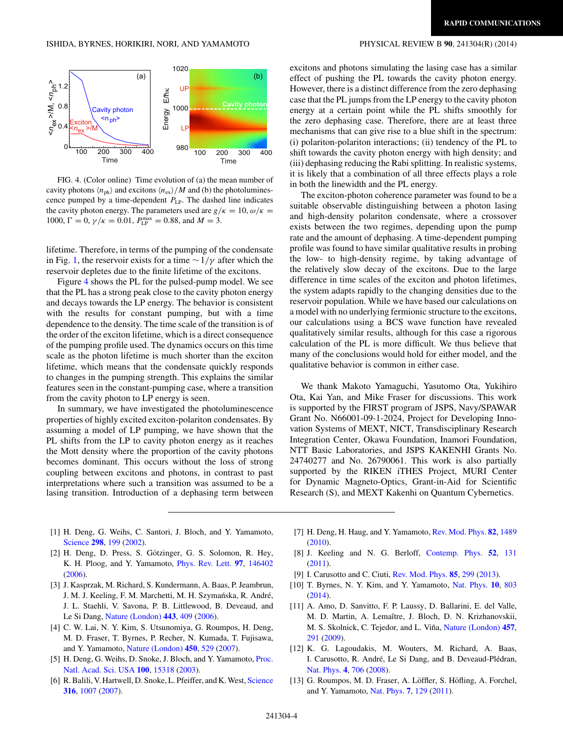<span id="page-3-0"></span>

FIG. 4. (Color online) Time evolution of (a) the mean number of cavity photons  $\langle n_{ph} \rangle$  and excitons  $\langle n_{ex} \rangle / M$  and (b) the photoluminescence pumped by a time-dependent *P*LP. The dashed line indicates the cavity photon energy. The parameters used are  $g/\kappa = 10$ ,  $\omega/\kappa =$ 1000,  $\Gamma = 0$ ,  $\gamma / \kappa = 0.01$ ,  $P_{\text{LP}}^{\text{max}} = 0.88$ , and  $M = 3$ .

lifetime. Therefore, in terms of the pumping of the condensate in Fig. [1,](#page-1-0) the reservoir exists for a time ∼1*/γ* after which the reservoir depletes due to the finite lifetime of the excitons.

Figure 4 shows the PL for the pulsed-pump model. We see that the PL has a strong peak close to the cavity photon energy and decays towards the LP energy. The behavior is consistent with the results for constant pumping, but with a time dependence to the density. The time scale of the transition is of the order of the exciton lifetime, which is a direct consequence of the pumping profile used. The dynamics occurs on this time scale as the photon lifetime is much shorter than the exciton lifetime, which means that the condensate quickly responds to changes in the pumping strength. This explains the similar features seen in the constant-pumping case, where a transition from the cavity photon to LP energy is seen.

In summary, we have investigated the photoluminescence properties of highly excited exciton-polariton condensates. By assuming a model of LP pumping, we have shown that the PL shifts from the LP to cavity photon energy as it reaches the Mott density where the proportion of the cavity photons becomes dominant. This occurs without the loss of strong coupling between excitons and photons, in contrast to past interpretations where such a transition was assumed to be a lasing transition. Introduction of a dephasing term between excitons and photons simulating the lasing case has a similar effect of pushing the PL towards the cavity photon energy. However, there is a distinct difference from the zero dephasing case that the PL jumps from the LP energy to the cavity photon energy at a certain point while the PL shifts smoothly for the zero dephasing case. Therefore, there are at least three mechanisms that can give rise to a blue shift in the spectrum: (i) polariton-polariton interactions; (ii) tendency of the PL to shift towards the cavity photon energy with high density; and (iii) dephasing reducing the Rabi splitting. In realistic systems, it is likely that a combination of all three effects plays a role in both the linewidth and the PL energy.

The exciton-photon coherence parameter was found to be a suitable observable distinguishing between a photon lasing and high-density polariton condensate, where a crossover exists between the two regimes, depending upon the pump rate and the amount of dephasing. A time-dependent pumping profile was found to have similar qualitative results in probing the low- to high-density regime, by taking advantage of the relatively slow decay of the excitons. Due to the large difference in time scales of the exciton and photon lifetimes, the system adapts rapidly to the changing densities due to the reservoir population. While we have based our calculations on a model with no underlying fermionic structure to the excitons, our calculations using a BCS wave function have revealed qualitatively similar results, although for this case a rigorous calculation of the PL is more difficult. We thus believe that many of the conclusions would hold for either model, and the qualitative behavior is common in either case.

We thank Makoto Yamaguchi, Yasutomo Ota, Yukihiro Ota, Kai Yan, and Mike Fraser for discussions. This work is supported by the FIRST program of JSPS, Navy/SPAWAR Grant No. N66001-09-1-2024, Project for Developing Innovation Systems of MEXT, NICT, Transdisciplinary Research Integration Center, Okawa Foundation, Inamori Foundation, NTT Basic Laboratories, and JSPS KAKENHI Grants No. 24740277 and No. 26790061. This work is also partially supported by the RIKEN iTHES Project, MURI Center for Dynamic Magneto-Optics, Grant-in-Aid for Scientific Research (S), and MEXT Kakenhi on Quantum Cybernetics.

- [1] H. Deng, G. Weihs, C. Santori, J. Bloch, and Y. Yamamoto, [Science](http://dx.doi.org/10.1126/science.1074464) **[298](http://dx.doi.org/10.1126/science.1074464)**, [199](http://dx.doi.org/10.1126/science.1074464) [\(2002\)](http://dx.doi.org/10.1126/science.1074464).
- [2] H. Deng, D. Press, S. Götzinger, G. S. Solomon, R. Hey, K. H. Ploog, and Y. Yamamoto, [Phys. Rev. Lett.](http://dx.doi.org/10.1103/PhysRevLett.97.146402) **[97](http://dx.doi.org/10.1103/PhysRevLett.97.146402)**, [146402](http://dx.doi.org/10.1103/PhysRevLett.97.146402) [\(2006\)](http://dx.doi.org/10.1103/PhysRevLett.97.146402).
- [3] J. Kasprzak, M. Richard, S. Kundermann, A. Baas, P. Jeambrun, J. M. J. Keeling, F. M. Marchetti, M. H. Szymańska, R. André, J. L. Staehli, V. Savona, P. B. Littlewood, B. Deveaud, and Le Si Dang, [Nature \(London\)](http://dx.doi.org/10.1038/nature05131) **[443](http://dx.doi.org/10.1038/nature05131)**, [409](http://dx.doi.org/10.1038/nature05131) [\(2006\)](http://dx.doi.org/10.1038/nature05131).
- [4] C. W. Lai, N. Y. Kim, S. Utsunomiya, G. Roumpos, H. Deng, M. D. Fraser, T. Byrnes, P. Recher, N. Kumada, T. Fujisawa, and Y. Yamamoto, [Nature \(London\)](http://dx.doi.org/10.1038/nature06334) **[450](http://dx.doi.org/10.1038/nature06334)**, [529](http://dx.doi.org/10.1038/nature06334) [\(2007\)](http://dx.doi.org/10.1038/nature06334).
- [5] [H. Deng, G. Weihs, D. Snoke, J. Bloch, and Y. Yamamoto,](http://dx.doi.org/10.1073/pnas.2634328100) Proc. Natl. Acad. Sci. USA **[100](http://dx.doi.org/10.1073/pnas.2634328100)**, [15318](http://dx.doi.org/10.1073/pnas.2634328100) [\(2003\)](http://dx.doi.org/10.1073/pnas.2634328100).
- [6] R. Balili, V. Hartwell, D. Snoke, L. Pfeiffer, and K. West, [Science](http://dx.doi.org/10.1126/science.1140990) **[316](http://dx.doi.org/10.1126/science.1140990)**, [1007](http://dx.doi.org/10.1126/science.1140990) [\(2007\)](http://dx.doi.org/10.1126/science.1140990).
- [7] H. Deng, H. Haug, and Y. Yamamoto, [Rev. Mod. Phys.](http://dx.doi.org/10.1103/RevModPhys.82.1489) **[82](http://dx.doi.org/10.1103/RevModPhys.82.1489)**, [1489](http://dx.doi.org/10.1103/RevModPhys.82.1489) [\(2010\)](http://dx.doi.org/10.1103/RevModPhys.82.1489).
- [8] J. Keeling and N. G. Berloff, [Contemp. Phys.](http://dx.doi.org/10.1080/00107514.2010.550120) **[52](http://dx.doi.org/10.1080/00107514.2010.550120)**, [131](http://dx.doi.org/10.1080/00107514.2010.550120) [\(2011\)](http://dx.doi.org/10.1080/00107514.2010.550120).
- [9] I. Carusotto and C. Ciuti, [Rev. Mod. Phys.](http://dx.doi.org/10.1103/RevModPhys.85.299) **[85](http://dx.doi.org/10.1103/RevModPhys.85.299)**, [299](http://dx.doi.org/10.1103/RevModPhys.85.299) [\(2013\)](http://dx.doi.org/10.1103/RevModPhys.85.299).
- [10] T. Byrnes, N. Y. Kim, and Y. Yamamoto, [Nat. Phys.](http://dx.doi.org/10.1038/nphys3143) **[10](http://dx.doi.org/10.1038/nphys3143)**, [803](http://dx.doi.org/10.1038/nphys3143) [\(2014\)](http://dx.doi.org/10.1038/nphys3143).
- [11] A. Amo, D. Sanvitto, F. P. Laussy, D. Ballarini, E. del Valle, M. D. Martin, A. Lemaˆıtre, J. Bloch, D. N. Krizhanovskii, M. S. Skolnick, C. Tejedor, and L. Viña, [Nature \(London\)](http://dx.doi.org/10.1038/nature07640) [457](http://dx.doi.org/10.1038/nature07640), [291](http://dx.doi.org/10.1038/nature07640) [\(2009\)](http://dx.doi.org/10.1038/nature07640).
- [12] K. G. Lagoudakis, M. Wouters, M. Richard, A. Baas, I. Carusotto, R. André, Le Si Dang, and B. Deveaud-Plédran, [Nat. Phys.](http://dx.doi.org/10.1038/nphys1051) **[4](http://dx.doi.org/10.1038/nphys1051)**, [706](http://dx.doi.org/10.1038/nphys1051) [\(2008\)](http://dx.doi.org/10.1038/nphys1051).
- [13] G. Roumpos, M. D. Fraser, A. Löffler, S. Höfling, A. Forchel, and Y. Yamamoto, [Nat. Phys.](http://dx.doi.org/10.1038/nphys1841) **[7](http://dx.doi.org/10.1038/nphys1841)**, [129](http://dx.doi.org/10.1038/nphys1841) [\(2011\)](http://dx.doi.org/10.1038/nphys1841).